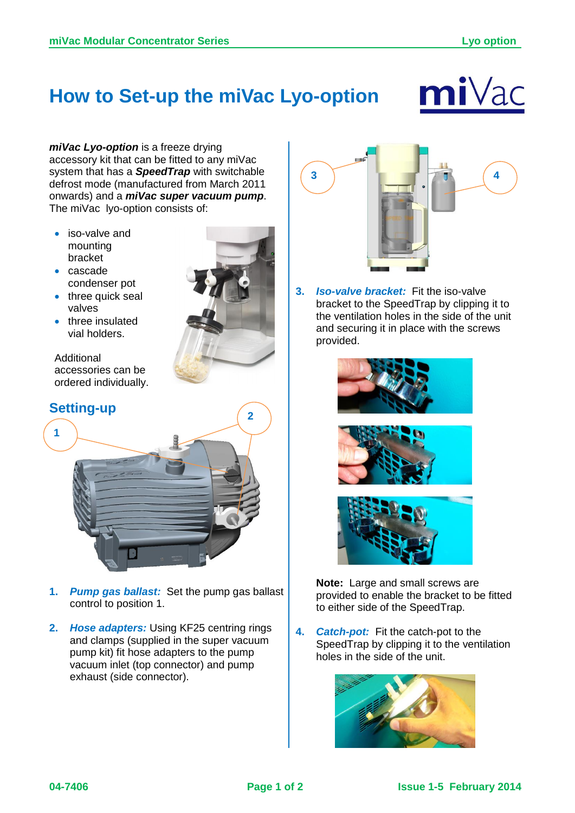## **How to Set-up the miVac Lyo-option**



*miVac Lyo-option* is a freeze drying accessory kit that can be fitted to any miVac system that has a *SpeedTrap* with switchable defrost mode (manufactured from March 2011 onwards) and a *miVac super vacuum pump*. The miVac lyo-option consists of:

- iso-valve and mounting bracket
- cascade condenser pot
- three quick seal valves
- three insulated vial holders.

Additional accessories can be ordered individually.







- **1.** *Pump gas ballast:* Set the pump gas ballast control to position 1.
- **2.** *Hose adapters:* Using KF25 centring rings and clamps (supplied in the super vacuum pump kit) fit hose adapters to the pump vacuum inlet (top connector) and pump exhaust (side connector).



**3.** *Iso-valve bracket:* Fit the iso-valve bracket to the SpeedTrap by clipping it to the ventilation holes in the side of the unit and securing it in place with the screws provided.







**Note:** Large and small screws are provided to enable the bracket to be fitted to either side of the SpeedTrap.

**4.** *Catch-pot:* Fit the catch-pot to the SpeedTrap by clipping it to the ventilation holes in the side of the unit.